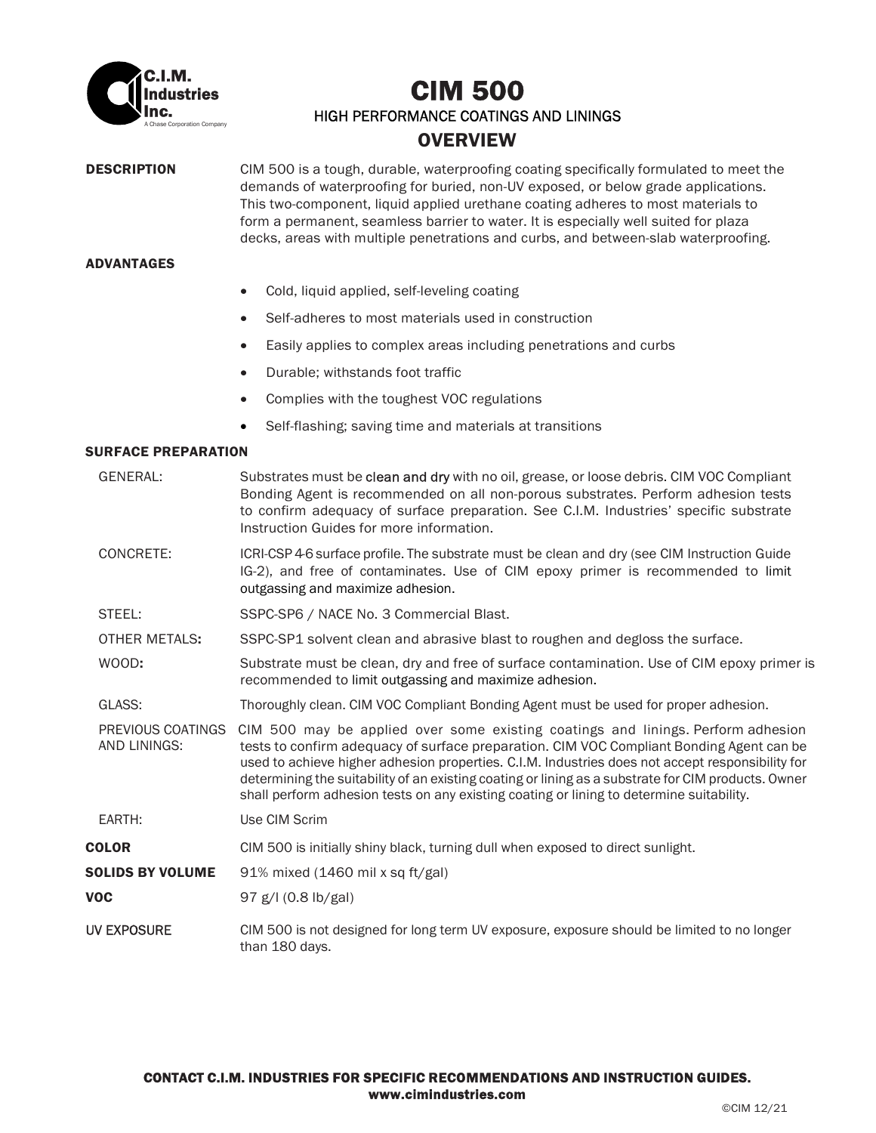

# A Chase Corporation Company CIM 500 HIGH PERFORMANCE COATINGS AND LININGS **OVERVIEW**

**DESCRIPTION** CIM 500 is a tough, durable, waterproofing coating specifically formulated to meet the demands of waterproofing for buried, non-UV exposed, or below grade applications. This two-component, liquid applied urethane coating adheres to most materials to form a permanent, seamless barrier to water. It is especially well suited for plaza decks, areas with multiple penetrations and curbs, and between-slab waterproofing.

### ADVANTAGES

- Cold, liquid applied, self-leveling coating
- Self-adheres to most materials used in construction
- Easily applies to complex areas including penetrations and curbs
- Durable; withstands foot traffic
- Complies with the toughest VOC regulations
- Self-flashing; saving time and materials at transitions

### SURFACE PREPARATION

GENERAL: Substrates must be clean and dry with no oil, grease, or loose debris. CIM VOC Compliant Bonding Agent is recommended on all non-porous substrates. Perform adhesion tests to confirm adequacy of surface preparation. See C.I.M. Industries' specific substrate Instruction Guides for more information. CONCRETE: ICRI-CSP 4-6 surface profile. The substrate must be clean and dry (see CIM Instruction Guide IG-2), and free of contaminates. Use of CIM epoxy primer is recommended to limit outgassing and maximize adhesion. STEEL: SSPC-SP6 / NACE No. 3 Commercial Blast. OTHER METALS: SSPC-SP1 solvent clean and abrasive blast to roughen and degloss the surface. WOOD: Substrate must be clean, dry and free of surface contamination. Use of CIM epoxy primer is recommended to limit outgassing and maximize adhesion. GLASS: Thoroughly clean. CIM VOC Compliant Bonding Agent must be used for proper adhesion. PREVIOUS COATINGS CIM 500 may be applied over some existing coatings and linings. Perform adhesion AND LININGS: tests to confirm adequacy of surface preparation. CIM VOC Compliant Bonding Agent can be used to achieve higher adhesion properties. C.I.M. Industries does not accept responsibility for determining the suitability of an existing coating or lining as a substrate for CIM products. Owner shall perform adhesion tests on any existing coating or lining to determine suitability. EARTH: Use CIM Scrim **COLOR** CIM 500 is initially shiny black, turning dull when exposed to direct sunlight. SOLIDS BY VOLUME 91% mixed (1460 mil x sq ft/gal) **VOC** 97 g/l  $(0.8 \text{ lb/gal})$ UV EXPOSURE CIM 500 is not designed for long term UV exposure, exposure should be limited to no longer than 180 days.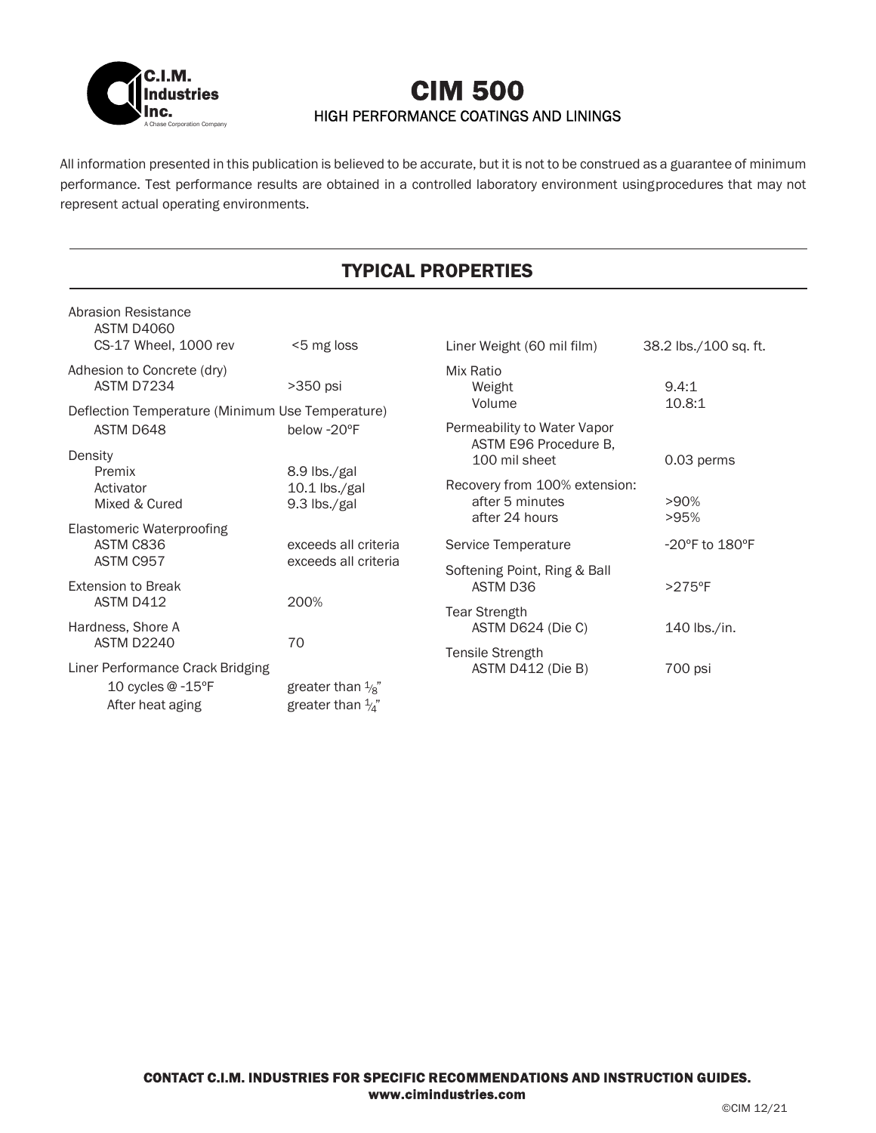

# A Chase Corporation Company CIM 500 HIGH PERFORMANCE COATINGS AND LININGS

All information presented in this publication is believed to be accurate, but it is not to be construed as a guarantee of minimum performance. Test performance results are obtained in a controlled laboratory environment using procedures that may not represent actual operating environments.

# TYPICAL PROPERTIES

| Abrasion Resistance<br>ASTM D4060                |                              |                                                      |                                    |  |  |  |
|--------------------------------------------------|------------------------------|------------------------------------------------------|------------------------------------|--|--|--|
| CS-17 Wheel, 1000 rev                            | <5 mg loss                   | Liner Weight (60 mil film)                           | 38.2 lbs./100 sq. ft.              |  |  |  |
| Adhesion to Concrete (dry)<br>ASTM D7234         | $>350$ psi                   | Mix Ratio<br>Weight<br>Volume                        | 9.4:1<br>10.8:1                    |  |  |  |
| Deflection Temperature (Minimum Use Temperature) |                              |                                                      |                                    |  |  |  |
| ASTM D648                                        | below -20°F                  | Permeability to Water Vapor<br>ASTM E96 Procedure B, |                                    |  |  |  |
| Density                                          |                              | 100 mil sheet                                        | 0.03 perms                         |  |  |  |
| Premix                                           | 8.9 lbs./gal                 |                                                      |                                    |  |  |  |
| Activator                                        | $10.1$ lbs./gal              | Recovery from 100% extension:                        |                                    |  |  |  |
| Mixed & Cured                                    | 9.3 lbs./gal                 | after 5 minutes<br>after 24 hours                    | $>90\%$<br>>95%                    |  |  |  |
| Elastomeric Waterproofing                        |                              |                                                      |                                    |  |  |  |
| ASTM C836                                        | exceeds all criteria         | Service Temperature                                  | $-20^{\circ}$ F to $180^{\circ}$ F |  |  |  |
| ASTM C957                                        | exceeds all criteria         | Softening Point, Ring & Ball<br>ASTM D36             |                                    |  |  |  |
| <b>Extension to Break</b>                        |                              |                                                      | $>275$ °F                          |  |  |  |
| ASTM D412                                        | 200%                         |                                                      |                                    |  |  |  |
| Hardness, Shore A                                |                              | <b>Tear Strength</b><br>ASTM D624 (Die C)            | 140 lbs./in.                       |  |  |  |
| ASTM D2240                                       | 70                           |                                                      |                                    |  |  |  |
|                                                  |                              | Tensile Strength                                     |                                    |  |  |  |
| Liner Performance Crack Bridging                 |                              | ASTM D412 (Die B)                                    | 700 psi                            |  |  |  |
| 10 cycles @ -15°F                                | greater than $\frac{1}{8}$ " |                                                      |                                    |  |  |  |
| After heat aging                                 | greater than $\frac{1}{4}$ " |                                                      |                                    |  |  |  |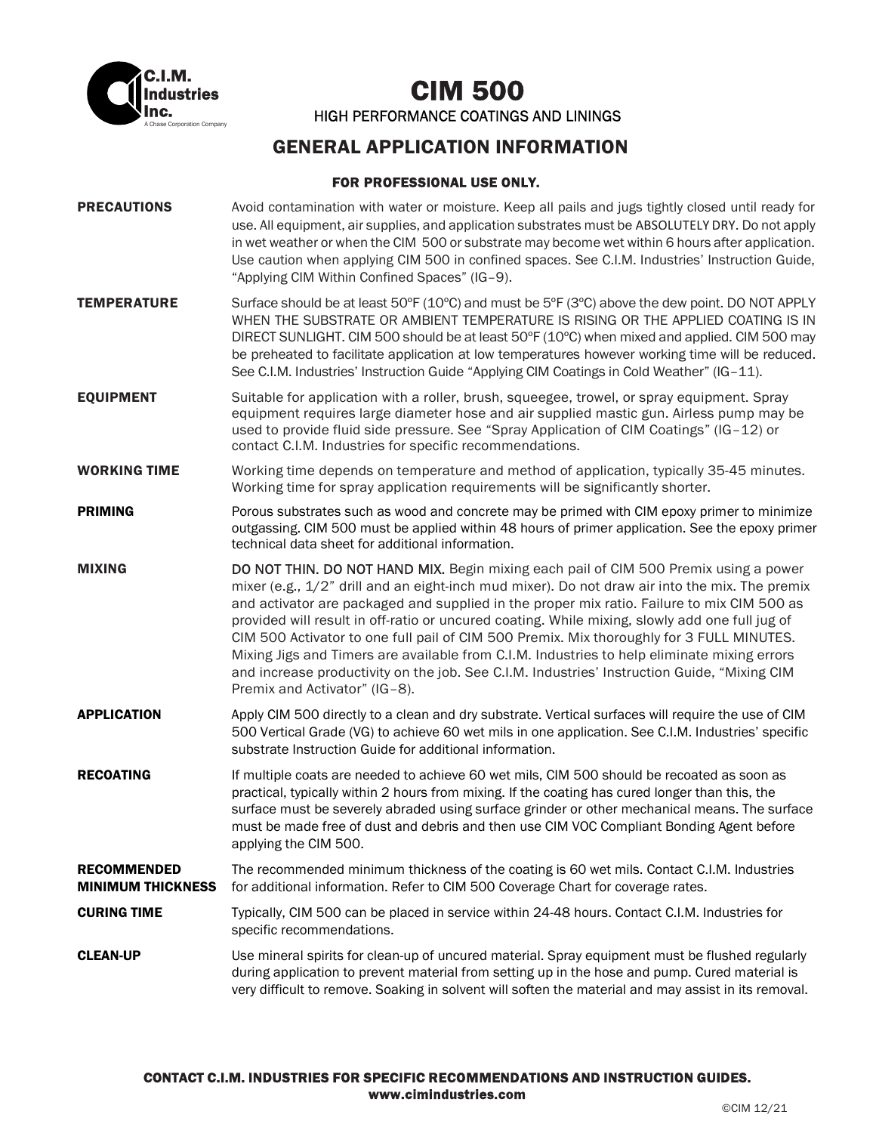

A Chase Corporation Company CIM 500 HIGH PERFORMANCE COATINGS AND LININGS

## GENERAL APPLICATION INFORMATION

## FOR PROFESSIONAL USE ONLY.

| <b>PRECAUTIONS</b>                             | Avoid contamination with water or moisture. Keep all pails and jugs tightly closed until ready for<br>use. All equipment, air supplies, and application substrates must be ABSOLUTELY DRY. Do not apply<br>in wet weather or when the CIM 500 or substrate may become wet within 6 hours after application.<br>Use caution when applying CIM 500 in confined spaces. See C.I.M. Industries' Instruction Guide,<br>"Applying CIM Within Confined Spaces" (IG-9).                                                                                                                                                                                                                                                   |  |
|------------------------------------------------|-------------------------------------------------------------------------------------------------------------------------------------------------------------------------------------------------------------------------------------------------------------------------------------------------------------------------------------------------------------------------------------------------------------------------------------------------------------------------------------------------------------------------------------------------------------------------------------------------------------------------------------------------------------------------------------------------------------------|--|
| <b>TEMPERATURE</b>                             | Surface should be at least 50°F (10°C) and must be 5°F (3°C) above the dew point. DO NOT APPLY<br>WHEN THE SUBSTRATE OR AMBIENT TEMPERATURE IS RISING OR THE APPLIED COATING IS IN<br>DIRECT SUNLIGHT. CIM 500 should be at least 50°F (10°C) when mixed and applied. CIM 500 may<br>be preheated to facilitate application at low temperatures however working time will be reduced.<br>See C.I.M. Industries' Instruction Guide "Applying CIM Coatings in Cold Weather" (IG-11).                                                                                                                                                                                                                                |  |
| <b>EQUIPMENT</b>                               | Suitable for application with a roller, brush, squeegee, trowel, or spray equipment. Spray<br>equipment requires large diameter hose and air supplied mastic gun. Airless pump may be<br>used to provide fluid side pressure. See "Spray Application of CIM Coatings" (IG-12) or<br>contact C.I.M. Industries for specific recommendations.                                                                                                                                                                                                                                                                                                                                                                       |  |
| <b>WORKING TIME</b>                            | Working time depends on temperature and method of application, typically 35-45 minutes.<br>Working time for spray application requirements will be significantly shorter.                                                                                                                                                                                                                                                                                                                                                                                                                                                                                                                                         |  |
| <b>PRIMING</b>                                 | Porous substrates such as wood and concrete may be primed with CIM epoxy primer to minimize<br>outgassing. CIM 500 must be applied within 48 hours of primer application. See the epoxy primer<br>technical data sheet for additional information.                                                                                                                                                                                                                                                                                                                                                                                                                                                                |  |
| <b>MIXING</b>                                  | DO NOT THIN. DO NOT HAND MIX. Begin mixing each pail of CIM 500 Premix using a power<br>mixer (e.g., 1/2" drill and an eight-inch mud mixer). Do not draw air into the mix. The premix<br>and activator are packaged and supplied in the proper mix ratio. Failure to mix CIM 500 as<br>provided will result in off-ratio or uncured coating. While mixing, slowly add one full jug of<br>CIM 500 Activator to one full pail of CIM 500 Premix. Mix thoroughly for 3 FULL MINUTES.<br>Mixing Jigs and Timers are available from C.I.M. Industries to help eliminate mixing errors<br>and increase productivity on the job. See C.I.M. Industries' Instruction Guide, "Mixing CIM<br>Premix and Activator" (IG-8). |  |
| <b>APPLICATION</b>                             | Apply CIM 500 directly to a clean and dry substrate. Vertical surfaces will require the use of CIM<br>500 Vertical Grade (VG) to achieve 60 wet mils in one application. See C.I.M. Industries' specific<br>substrate Instruction Guide for additional information.                                                                                                                                                                                                                                                                                                                                                                                                                                               |  |
| <b>RECOATING</b>                               | If multiple coats are needed to achieve 60 wet mils, CIM 500 should be recoated as soon as<br>practical, typically within 2 hours from mixing. If the coating has cured longer than this, the<br>surface must be severely abraded using surface grinder or other mechanical means. The surface<br>must be made free of dust and debris and then use CIM VOC Compliant Bonding Agent before<br>applying the CIM 500.                                                                                                                                                                                                                                                                                               |  |
| <b>RECOMMENDED</b><br><b>MINIMUM THICKNESS</b> | The recommended minimum thickness of the coating is 60 wet mils. Contact C.I.M. Industries<br>for additional information. Refer to CIM 500 Coverage Chart for coverage rates.                                                                                                                                                                                                                                                                                                                                                                                                                                                                                                                                     |  |
| <b>CURING TIME</b>                             | Typically, CIM 500 can be placed in service within 24-48 hours. Contact C.I.M. Industries for<br>specific recommendations.                                                                                                                                                                                                                                                                                                                                                                                                                                                                                                                                                                                        |  |
| <b>CLEAN-UP</b>                                | Use mineral spirits for clean-up of uncured material. Spray equipment must be flushed regularly<br>during application to prevent material from setting up in the hose and pump. Cured material is<br>very difficult to remove. Soaking in solvent will soften the material and may assist in its removal.                                                                                                                                                                                                                                                                                                                                                                                                         |  |
|                                                |                                                                                                                                                                                                                                                                                                                                                                                                                                                                                                                                                                                                                                                                                                                   |  |